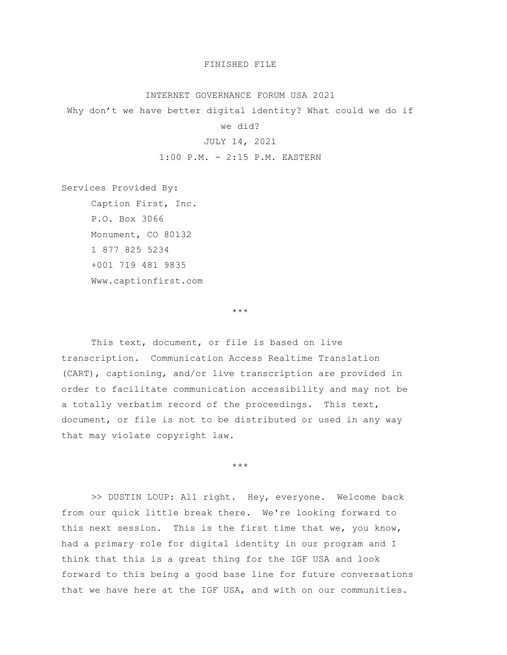## FINISHED FILE

### INTERNET GOVERNANCE FORUM USA 2021

Why don't we have better digital identity? What could we do if

#### we did?

# JULY 14, 2021

1:00 P.M. - 2:15 P.M. EASTERN

Services Provided By:

Caption First, Inc. P.O. Box 3066 Monument, CO 80132 1 877 825 5234 +001 719 481 9835 Www.captionfirst.com

\*\*\*

This text, document, or file is based on live transcription. Communication Access Realtime Translation (CART), captioning, and/or live transcription are provided in order to facilitate communication accessibility and may not be a totally verbatim record of the proceedings. This text, document, or file is not to be distributed or used in any way that may violate copyright law.

\*\*\*

>> DUSTIN LOUP: All right. Hey, everyone. Welcome back from our quick little break there. We're looking forward to this next session. This is the first time that we, you know, had a primary role for digital identity in our program and I think that this is a great thing for the IGF USA and look forward to this being a good base line for future conversations that we have here at the IGF USA, and with on our communities.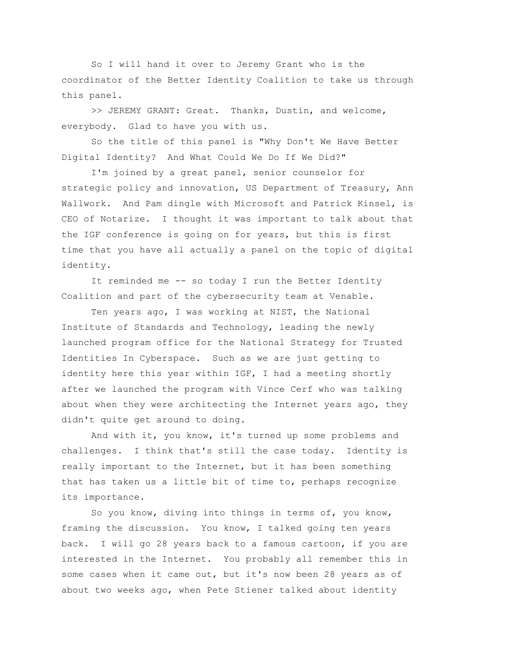So I will hand it over to Jeremy Grant who is the coordinator of the Better Identity Coalition to take us through this panel.

>> JEREMY GRANT: Great. Thanks, Dustin, and welcome, everybody. Glad to have you with us.

So the title of this panel is "Why Don't We Have Better Digital Identity? And What Could We Do If We Did?"

I'm joined by a great panel, senior counselor for strategic policy and innovation, US Department of Treasury, Ann Wallwork. And Pam dingle with Microsoft and Patrick Kinsel, is CEO of Notarize. I thought it was important to talk about that the IGF conference is going on for years, but this is first time that you have all actually a panel on the topic of digital identity.

It reminded me -- so today I run the Better Identity Coalition and part of the cybersecurity team at Venable.

Ten years ago, I was working at NIST, the National Institute of Standards and Technology, leading the newly launched program office for the National Strategy for Trusted Identities In Cyberspace. Such as we are just getting to identity here this year within IGF, I had a meeting shortly after we launched the program with Vince Cerf who was talking about when they were architecting the Internet years ago, they didn't quite get around to doing.

And with it, you know, it's turned up some problems and challenges. I think that's still the case today. Identity is really important to the Internet, but it has been something that has taken us a little bit of time to, perhaps recognize its importance.

So you know, diving into things in terms of, you know, framing the discussion. You know, I talked going ten years back. I will go 28 years back to a famous cartoon, if you are interested in the Internet. You probably all remember this in some cases when it came out, but it's now been 28 years as of about two weeks ago, when Pete Stiener talked about identity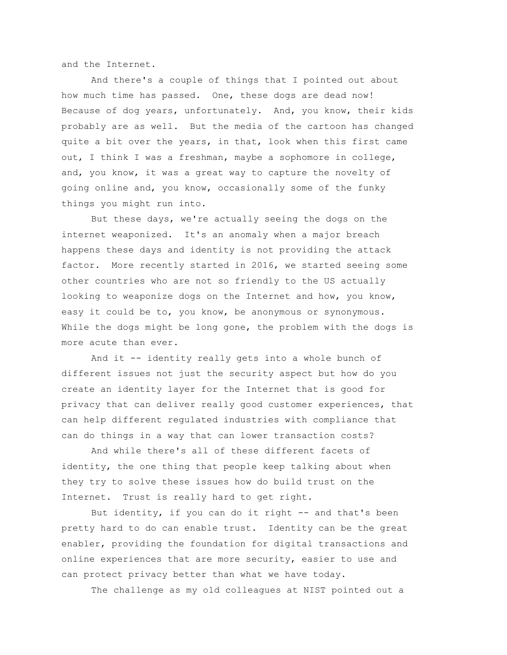and the Internet.

And there's a couple of things that I pointed out about how much time has passed. One, these dogs are dead now! Because of dog years, unfortunately. And, you know, their kids probably are as well. But the media of the cartoon has changed quite a bit over the years, in that, look when this first came out, I think I was a freshman, maybe a sophomore in college, and, you know, it was a great way to capture the novelty of going online and, you know, occasionally some of the funky things you might run into.

But these days, we're actually seeing the dogs on the internet weaponized. It's an anomaly when a major breach happens these days and identity is not providing the attack factor. More recently started in 2016, we started seeing some other countries who are not so friendly to the US actually looking to weaponize dogs on the Internet and how, you know, easy it could be to, you know, be anonymous or synonymous. While the dogs might be long gone, the problem with the dogs is more acute than ever.

And it -- identity really gets into a whole bunch of different issues not just the security aspect but how do you create an identity layer for the Internet that is good for privacy that can deliver really good customer experiences, that can help different regulated industries with compliance that can do things in a way that can lower transaction costs?

And while there's all of these different facets of identity, the one thing that people keep talking about when they try to solve these issues how do build trust on the Internet. Trust is really hard to get right.

But identity, if you can do it right -- and that's been pretty hard to do can enable trust. Identity can be the great enabler, providing the foundation for digital transactions and online experiences that are more security, easier to use and can protect privacy better than what we have today.

The challenge as my old colleagues at NIST pointed out a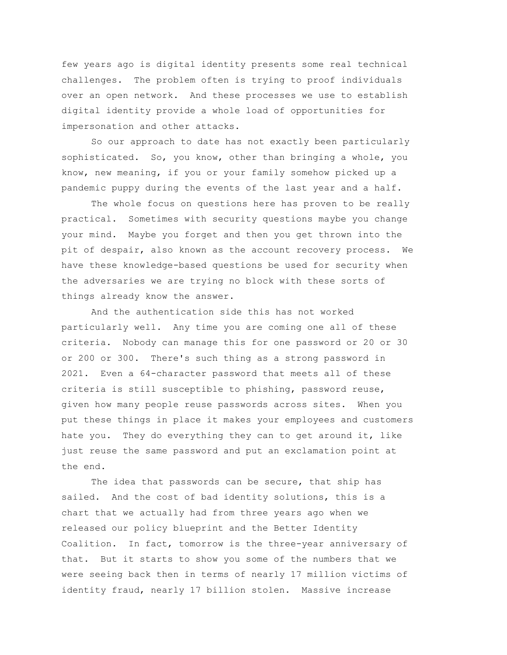few years ago is digital identity presents some real technical challenges. The problem often is trying to proof individuals over an open network. And these processes we use to establish digital identity provide a whole load of opportunities for impersonation and other attacks.

So our approach to date has not exactly been particularly sophisticated. So, you know, other than bringing a whole, you know, new meaning, if you or your family somehow picked up a pandemic puppy during the events of the last year and a half.

The whole focus on questions here has proven to be really practical. Sometimes with security questions maybe you change your mind. Maybe you forget and then you get thrown into the pit of despair, also known as the account recovery process. We have these knowledge-based questions be used for security when the adversaries we are trying no block with these sorts of things already know the answer.

And the authentication side this has not worked particularly well. Any time you are coming one all of these criteria. Nobody can manage this for one password or 20 or 30 or 200 or 300. There's such thing as a strong password in 2021. Even a 64-character password that meets all of these criteria is still susceptible to phishing, password reuse, given how many people reuse passwords across sites. When you put these things in place it makes your employees and customers hate you. They do everything they can to get around it, like just reuse the same password and put an exclamation point at the end.

The idea that passwords can be secure, that ship has sailed. And the cost of bad identity solutions, this is a chart that we actually had from three years ago when we released our policy blueprint and the Better Identity Coalition. In fact, tomorrow is the three-year anniversary of that. But it starts to show you some of the numbers that we were seeing back then in terms of nearly 17 million victims of identity fraud, nearly 17 billion stolen. Massive increase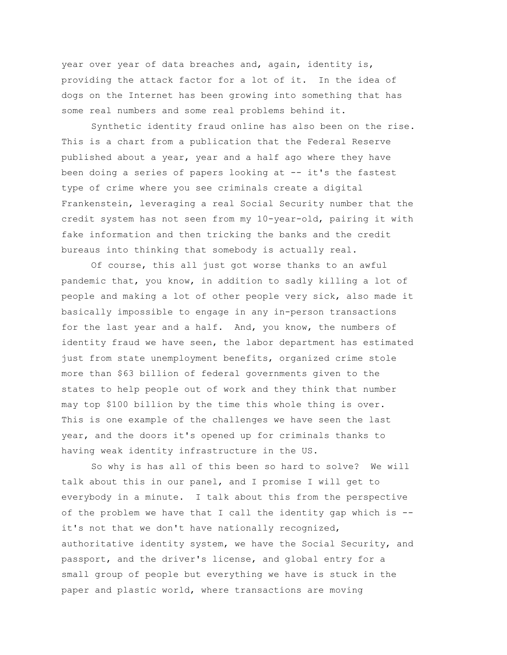year over year of data breaches and, again, identity is, providing the attack factor for a lot of it. In the idea of dogs on the Internet has been growing into something that has some real numbers and some real problems behind it.

Synthetic identity fraud online has also been on the rise. This is a chart from a publication that the Federal Reserve published about a year, year and a half ago where they have been doing a series of papers looking at -- it's the fastest type of crime where you see criminals create a digital Frankenstein, leveraging a real Social Security number that the credit system has not seen from my 10-year-old, pairing it with fake information and then tricking the banks and the credit bureaus into thinking that somebody is actually real.

Of course, this all just got worse thanks to an awful pandemic that, you know, in addition to sadly killing a lot of people and making a lot of other people very sick, also made it basically impossible to engage in any in-person transactions for the last year and a half. And, you know, the numbers of identity fraud we have seen, the labor department has estimated just from state unemployment benefits, organized crime stole more than \$63 billion of federal governments given to the states to help people out of work and they think that number may top \$100 billion by the time this whole thing is over. This is one example of the challenges we have seen the last year, and the doors it's opened up for criminals thanks to having weak identity infrastructure in the US.

So why is has all of this been so hard to solve? We will talk about this in our panel, and I promise I will get to everybody in a minute. I talk about this from the perspective of the problem we have that I call the identity gap which is - it's not that we don't have nationally recognized, authoritative identity system, we have the Social Security, and passport, and the driver's license, and global entry for a small group of people but everything we have is stuck in the paper and plastic world, where transactions are moving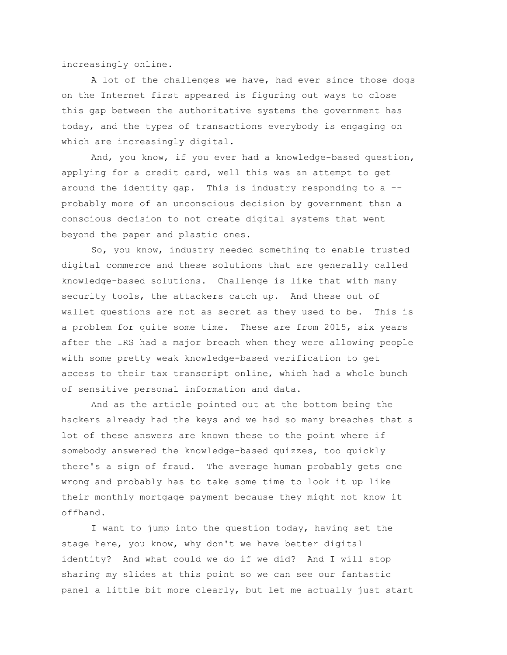increasingly online.

A lot of the challenges we have, had ever since those dogs on the Internet first appeared is figuring out ways to close this gap between the authoritative systems the government has today, and the types of transactions everybody is engaging on which are increasingly digital.

And, you know, if you ever had a knowledge-based question, applying for a credit card, well this was an attempt to get around the identity gap. This is industry responding to a - probably more of an unconscious decision by government than a conscious decision to not create digital systems that went beyond the paper and plastic ones.

So, you know, industry needed something to enable trusted digital commerce and these solutions that are generally called knowledge-based solutions. Challenge is like that with many security tools, the attackers catch up. And these out of wallet questions are not as secret as they used to be. This is a problem for quite some time. These are from 2015, six years after the IRS had a major breach when they were allowing people with some pretty weak knowledge-based verification to get access to their tax transcript online, which had a whole bunch of sensitive personal information and data.

And as the article pointed out at the bottom being the hackers already had the keys and we had so many breaches that a lot of these answers are known these to the point where if somebody answered the knowledge-based quizzes, too quickly there's a sign of fraud. The average human probably gets one wrong and probably has to take some time to look it up like their monthly mortgage payment because they might not know it offhand.

I want to jump into the question today, having set the stage here, you know, why don't we have better digital identity? And what could we do if we did? And I will stop sharing my slides at this point so we can see our fantastic panel a little bit more clearly, but let me actually just start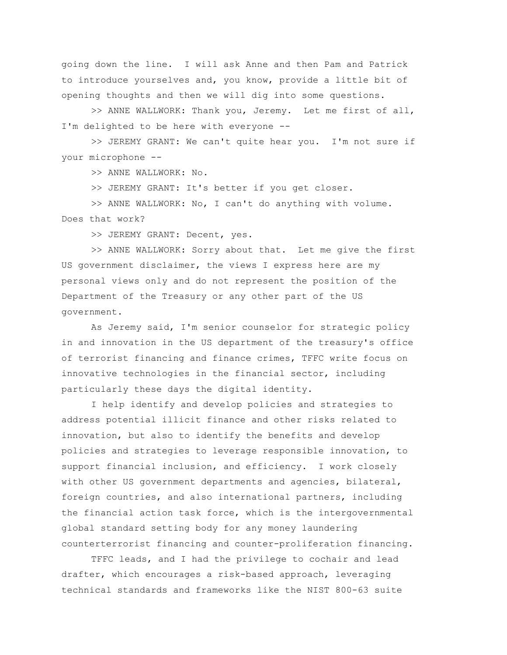going down the line. I will ask Anne and then Pam and Patrick to introduce yourselves and, you know, provide a little bit of opening thoughts and then we will dig into some questions.

>> ANNE WALLWORK: Thank you, Jeremy. Let me first of all, I'm delighted to be here with everyone --

>> JEREMY GRANT: We can't quite hear you. I'm not sure if your microphone --

>> ANNE WALLWORK: No.

>> JEREMY GRANT: It's better if you get closer.

>> ANNE WALLWORK: No, I can't do anything with volume. Does that work?

>> JEREMY GRANT: Decent, yes.

>> ANNE WALLWORK: Sorry about that. Let me give the first US government disclaimer, the views I express here are my personal views only and do not represent the position of the Department of the Treasury or any other part of the US government.

As Jeremy said, I'm senior counselor for strategic policy in and innovation in the US department of the treasury's office of terrorist financing and finance crimes, TFFC write focus on innovative technologies in the financial sector, including particularly these days the digital identity.

I help identify and develop policies and strategies to address potential illicit finance and other risks related to innovation, but also to identify the benefits and develop policies and strategies to leverage responsible innovation, to support financial inclusion, and efficiency. I work closely with other US government departments and agencies, bilateral, foreign countries, and also international partners, including the financial action task force, which is the intergovernmental global standard setting body for any money laundering counterterrorist financing and counter-proliferation financing.

TFFC leads, and I had the privilege to cochair and lead drafter, which encourages a risk-based approach, leveraging technical standards and frameworks like the NIST 800-63 suite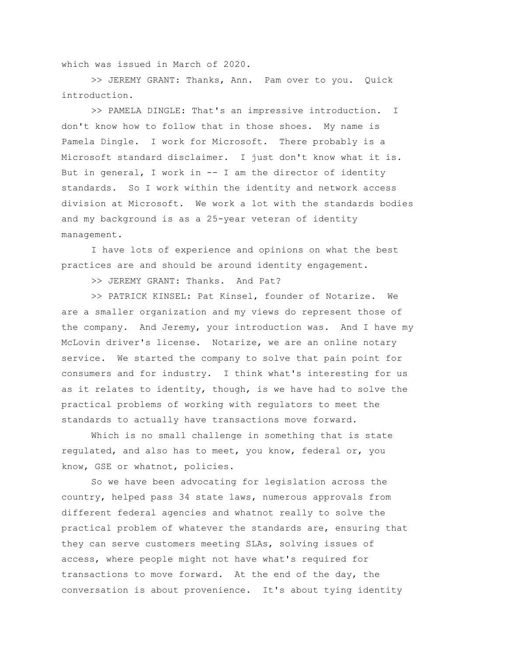which was issued in March of 2020.

>> JEREMY GRANT: Thanks, Ann. Pam over to you. Quick introduction.

>> PAMELA DINGLE: That's an impressive introduction. I don't know how to follow that in those shoes. My name is Pamela Dingle. I work for Microsoft. There probably is a Microsoft standard disclaimer. I just don't know what it is. But in general, I work in -- I am the director of identity standards. So I work within the identity and network access division at Microsoft. We work a lot with the standards bodies and my background is as a 25-year veteran of identity management.

I have lots of experience and opinions on what the best practices are and should be around identity engagement.

>> JEREMY GRANT: Thanks. And Pat?

>> PATRICK KINSEL: Pat Kinsel, founder of Notarize. We are a smaller organization and my views do represent those of the company. And Jeremy, your introduction was. And I have my McLovin driver's license. Notarize, we are an online notary service. We started the company to solve that pain point for consumers and for industry. I think what's interesting for us as it relates to identity, though, is we have had to solve the practical problems of working with regulators to meet the standards to actually have transactions move forward.

Which is no small challenge in something that is state regulated, and also has to meet, you know, federal or, you know, GSE or whatnot, policies.

So we have been advocating for legislation across the country, helped pass 34 state laws, numerous approvals from different federal agencies and whatnot really to solve the practical problem of whatever the standards are, ensuring that they can serve customers meeting SLAs, solving issues of access, where people might not have what's required for transactions to move forward. At the end of the day, the conversation is about provenience. It's about tying identity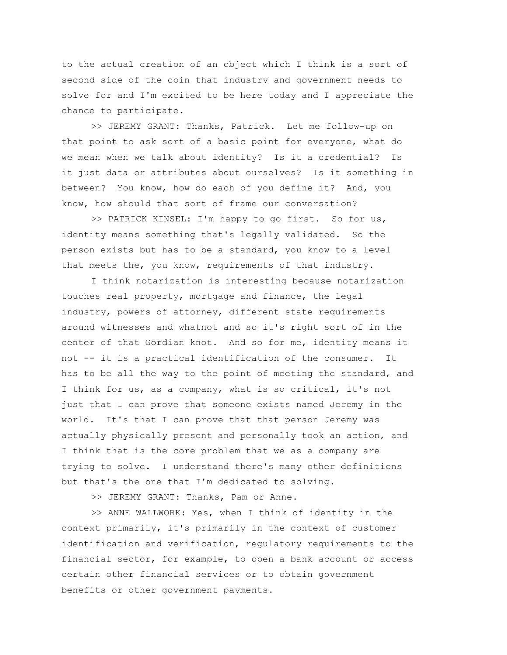to the actual creation of an object which I think is a sort of second side of the coin that industry and government needs to solve for and I'm excited to be here today and I appreciate the chance to participate.

>> JEREMY GRANT: Thanks, Patrick. Let me follow-up on that point to ask sort of a basic point for everyone, what do we mean when we talk about identity? Is it a credential? Is it just data or attributes about ourselves? Is it something in between? You know, how do each of you define it? And, you know, how should that sort of frame our conversation?

>> PATRICK KINSEL: I'm happy to go first. So for us, identity means something that's legally validated. So the person exists but has to be a standard, you know to a level that meets the, you know, requirements of that industry.

I think notarization is interesting because notarization touches real property, mortgage and finance, the legal industry, powers of attorney, different state requirements around witnesses and whatnot and so it's right sort of in the center of that Gordian knot. And so for me, identity means it not -- it is a practical identification of the consumer. It has to be all the way to the point of meeting the standard, and I think for us, as a company, what is so critical, it's not just that I can prove that someone exists named Jeremy in the world. It's that I can prove that that person Jeremy was actually physically present and personally took an action, and I think that is the core problem that we as a company are trying to solve. I understand there's many other definitions but that's the one that I'm dedicated to solving.

>> JEREMY GRANT: Thanks, Pam or Anne.

>> ANNE WALLWORK: Yes, when I think of identity in the context primarily, it's primarily in the context of customer identification and verification, regulatory requirements to the financial sector, for example, to open a bank account or access certain other financial services or to obtain government benefits or other government payments.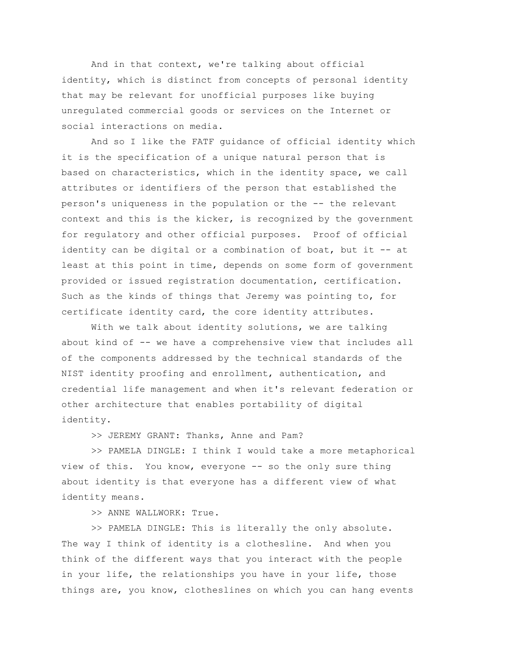And in that context, we're talking about official identity, which is distinct from concepts of personal identity that may be relevant for unofficial purposes like buying unregulated commercial goods or services on the Internet or social interactions on media.

And so I like the FATF guidance of official identity which it is the specification of a unique natural person that is based on characteristics, which in the identity space, we call attributes or identifiers of the person that established the person's uniqueness in the population or the -- the relevant context and this is the kicker, is recognized by the government for regulatory and other official purposes. Proof of official identity can be digital or a combination of boat, but it -- at least at this point in time, depends on some form of government provided or issued registration documentation, certification. Such as the kinds of things that Jeremy was pointing to, for certificate identity card, the core identity attributes.

With we talk about identity solutions, we are talking about kind of -- we have a comprehensive view that includes all of the components addressed by the technical standards of the NIST identity proofing and enrollment, authentication, and credential life management and when it's relevant federation or other architecture that enables portability of digital identity.

>> JEREMY GRANT: Thanks, Anne and Pam?

>> PAMELA DINGLE: I think I would take a more metaphorical view of this. You know, everyone -- so the only sure thing about identity is that everyone has a different view of what identity means.

>> ANNE WALLWORK: True.

>> PAMELA DINGLE: This is literally the only absolute. The way I think of identity is a clothesline. And when you think of the different ways that you interact with the people in your life, the relationships you have in your life, those things are, you know, clotheslines on which you can hang events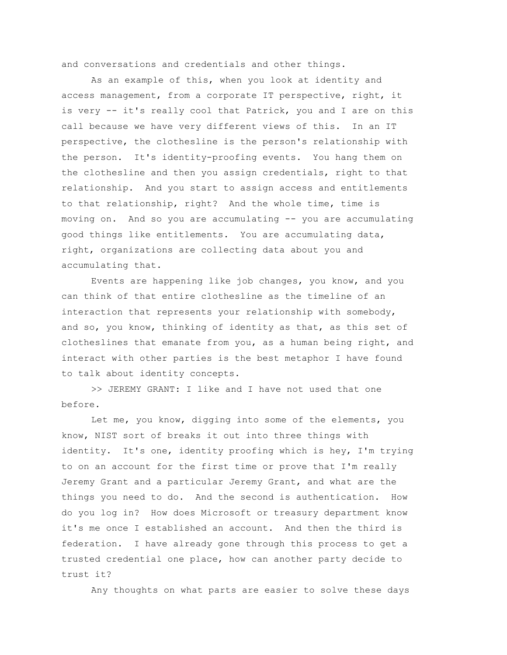and conversations and credentials and other things.

As an example of this, when you look at identity and access management, from a corporate IT perspective, right, it is very -- it's really cool that Patrick, you and I are on this call because we have very different views of this. In an IT perspective, the clothesline is the person's relationship with the person. It's identity-proofing events. You hang them on the clothesline and then you assign credentials, right to that relationship. And you start to assign access and entitlements to that relationship, right? And the whole time, time is moving on. And so you are accumulating -- you are accumulating good things like entitlements. You are accumulating data, right, organizations are collecting data about you and accumulating that.

Events are happening like job changes, you know, and you can think of that entire clothesline as the timeline of an interaction that represents your relationship with somebody, and so, you know, thinking of identity as that, as this set of clotheslines that emanate from you, as a human being right, and interact with other parties is the best metaphor I have found to talk about identity concepts.

>> JEREMY GRANT: I like and I have not used that one before.

Let me, you know, digging into some of the elements, you know, NIST sort of breaks it out into three things with identity. It's one, identity proofing which is hey, I'm trying to on an account for the first time or prove that I'm really Jeremy Grant and a particular Jeremy Grant, and what are the things you need to do. And the second is authentication. How do you log in? How does Microsoft or treasury department know it's me once I established an account. And then the third is federation. I have already gone through this process to get a trusted credential one place, how can another party decide to trust it?

Any thoughts on what parts are easier to solve these days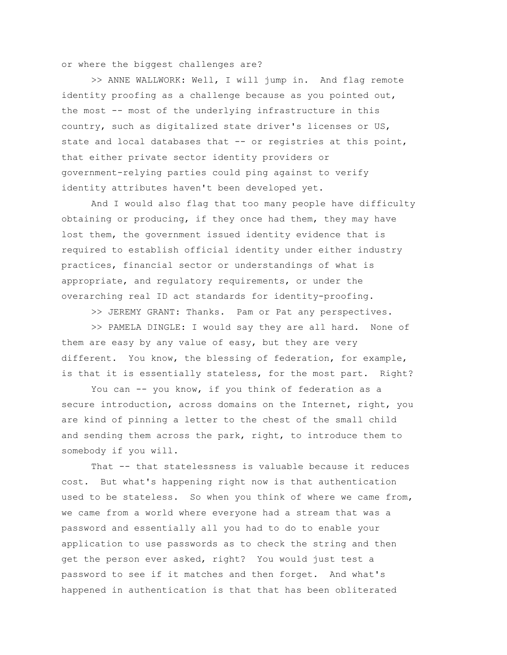or where the biggest challenges are?

>> ANNE WALLWORK: Well, I will jump in. And flag remote identity proofing as a challenge because as you pointed out, the most -- most of the underlying infrastructure in this country, such as digitalized state driver's licenses or US, state and local databases that -- or registries at this point, that either private sector identity providers or government-relying parties could ping against to verify identity attributes haven't been developed yet.

And I would also flag that too many people have difficulty obtaining or producing, if they once had them, they may have lost them, the government issued identity evidence that is required to establish official identity under either industry practices, financial sector or understandings of what is appropriate, and regulatory requirements, or under the overarching real ID act standards for identity-proofing.

>> JEREMY GRANT: Thanks. Pam or Pat any perspectives.

>> PAMELA DINGLE: I would say they are all hard. None of them are easy by any value of easy, but they are very different. You know, the blessing of federation, for example, is that it is essentially stateless, for the most part. Right?

You can -- you know, if you think of federation as a secure introduction, across domains on the Internet, right, you are kind of pinning a letter to the chest of the small child and sending them across the park, right, to introduce them to somebody if you will.

That -- that statelessness is valuable because it reduces cost. But what's happening right now is that authentication used to be stateless. So when you think of where we came from, we came from a world where everyone had a stream that was a password and essentially all you had to do to enable your application to use passwords as to check the string and then get the person ever asked, right? You would just test a password to see if it matches and then forget. And what's happened in authentication is that that has been obliterated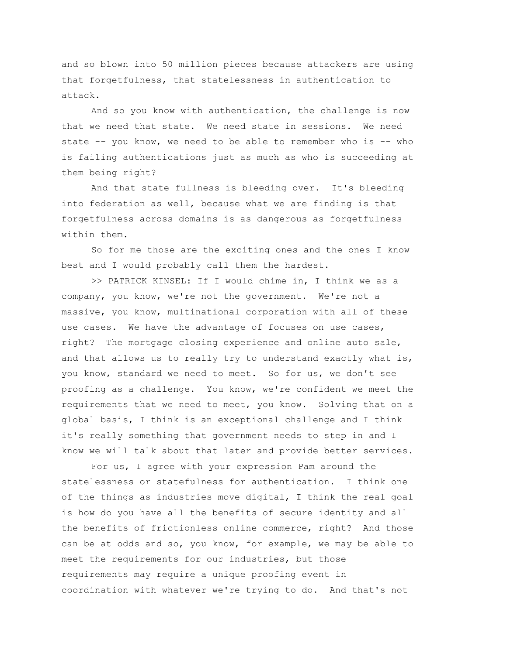and so blown into 50 million pieces because attackers are using that forgetfulness, that statelessness in authentication to attack.

And so you know with authentication, the challenge is now that we need that state. We need state in sessions. We need state -- you know, we need to be able to remember who is -- who is failing authentications just as much as who is succeeding at them being right?

And that state fullness is bleeding over. It's bleeding into federation as well, because what we are finding is that forgetfulness across domains is as dangerous as forgetfulness within them.

So for me those are the exciting ones and the ones I know best and I would probably call them the hardest.

>> PATRICK KINSEL: If I would chime in, I think we as a company, you know, we're not the government. We're not a massive, you know, multinational corporation with all of these use cases. We have the advantage of focuses on use cases, right? The mortgage closing experience and online auto sale, and that allows us to really try to understand exactly what is, you know, standard we need to meet. So for us, we don't see proofing as a challenge. You know, we're confident we meet the requirements that we need to meet, you know. Solving that on a global basis, I think is an exceptional challenge and I think it's really something that government needs to step in and I know we will talk about that later and provide better services.

For us, I agree with your expression Pam around the statelessness or statefulness for authentication. I think one of the things as industries move digital, I think the real goal is how do you have all the benefits of secure identity and all the benefits of frictionless online commerce, right? And those can be at odds and so, you know, for example, we may be able to meet the requirements for our industries, but those requirements may require a unique proofing event in coordination with whatever we're trying to do. And that's not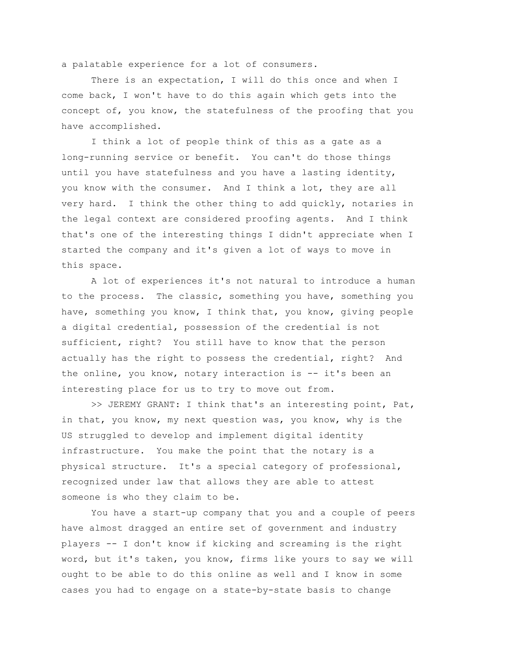a palatable experience for a lot of consumers.

There is an expectation, I will do this once and when I come back, I won't have to do this again which gets into the concept of, you know, the statefulness of the proofing that you have accomplished.

I think a lot of people think of this as a gate as a long-running service or benefit. You can't do those things until you have statefulness and you have a lasting identity, you know with the consumer. And I think a lot, they are all very hard. I think the other thing to add quickly, notaries in the legal context are considered proofing agents. And I think that's one of the interesting things I didn't appreciate when I started the company and it's given a lot of ways to move in this space.

A lot of experiences it's not natural to introduce a human to the process. The classic, something you have, something you have, something you know, I think that, you know, giving people a digital credential, possession of the credential is not sufficient, right? You still have to know that the person actually has the right to possess the credential, right? And the online, you know, notary interaction is -- it's been an interesting place for us to try to move out from.

>> JEREMY GRANT: I think that's an interesting point, Pat, in that, you know, my next question was, you know, why is the US struggled to develop and implement digital identity infrastructure. You make the point that the notary is a physical structure. It's a special category of professional, recognized under law that allows they are able to attest someone is who they claim to be.

You have a start-up company that you and a couple of peers have almost dragged an entire set of government and industry players -- I don't know if kicking and screaming is the right word, but it's taken, you know, firms like yours to say we will ought to be able to do this online as well and I know in some cases you had to engage on a state-by-state basis to change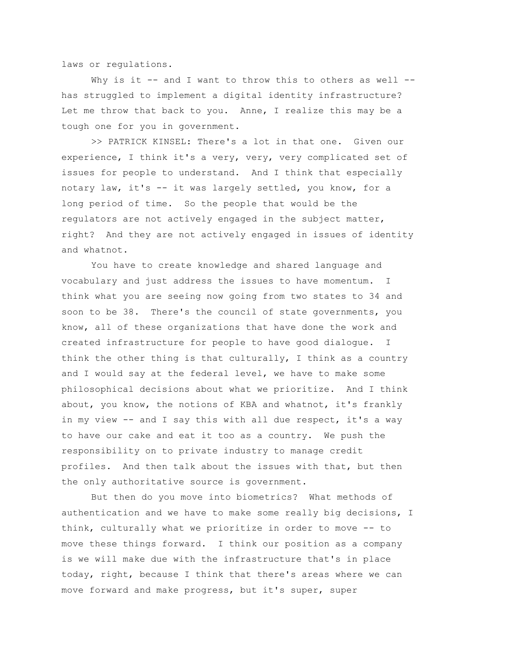laws or regulations.

Why is it  $--$  and I want to throw this to others as well  $-$ has struggled to implement a digital identity infrastructure? Let me throw that back to you. Anne, I realize this may be a tough one for you in government.

>> PATRICK KINSEL: There's a lot in that one. Given our experience, I think it's a very, very, very complicated set of issues for people to understand. And I think that especially notary law, it's -- it was largely settled, you know, for a long period of time. So the people that would be the regulators are not actively engaged in the subject matter, right? And they are not actively engaged in issues of identity and whatnot.

You have to create knowledge and shared language and vocabulary and just address the issues to have momentum. I think what you are seeing now going from two states to 34 and soon to be 38. There's the council of state governments, you know, all of these organizations that have done the work and created infrastructure for people to have good dialogue. I think the other thing is that culturally, I think as a country and I would say at the federal level, we have to make some philosophical decisions about what we prioritize. And I think about, you know, the notions of KBA and whatnot, it's frankly in my view -- and I say this with all due respect, it's a way to have our cake and eat it too as a country. We push the responsibility on to private industry to manage credit profiles. And then talk about the issues with that, but then the only authoritative source is government.

But then do you move into biometrics? What methods of authentication and we have to make some really big decisions, I think, culturally what we prioritize in order to move -- to move these things forward. I think our position as a company is we will make due with the infrastructure that's in place today, right, because I think that there's areas where we can move forward and make progress, but it's super, super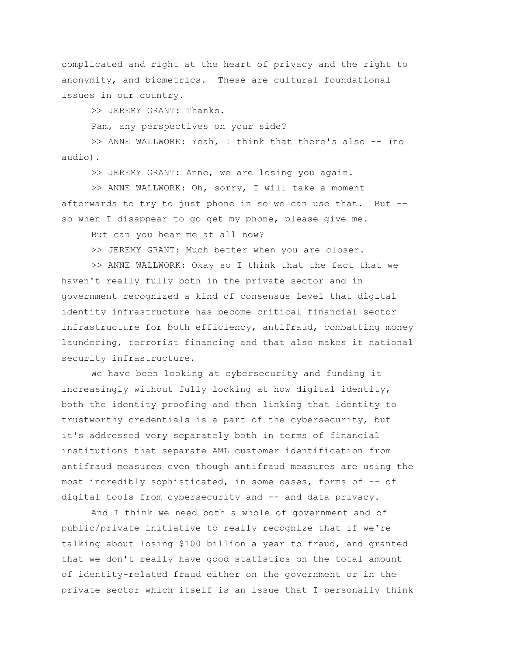complicated and right at the heart of privacy and the right to anonymity, and biometrics. These are cultural foundational issues in our country.

>> JEREMY GRANT: Thanks.

Pam, any perspectives on your side?

>> ANNE WALLWORK: Yeah, I think that there's also -- (no audio).

>> JEREMY GRANT: Anne, we are losing you again.

>> ANNE WALLWORK: Oh, sorry, I will take a moment afterwards to try to just phone in so we can use that. But - so when I disappear to go get my phone, please give me.

But can you hear me at all now?

>> JEREMY GRANT: Much better when you are closer.

>> ANNE WALLWORK: Okay so I think that the fact that we haven't really fully both in the private sector and in government recognized a kind of consensus level that digital identity infrastructure has become critical financial sector infrastructure for both efficiency, antifraud, combatting money laundering, terrorist financing and that also makes it national security infrastructure.

We have been looking at cybersecurity and funding it increasingly without fully looking at how digital identity, both the identity proofing and then linking that identity to trustworthy credentials is a part of the cybersecurity, but it's addressed very separately both in terms of financial institutions that separate AML customer identification from antifraud measures even though antifraud measures are using the most incredibly sophisticated, in some cases, forms of -- of digital tools from cybersecurity and -- and data privacy.

And I think we need both a whole of government and of public/private initiative to really recognize that if we're talking about losing \$100 billion a year to fraud, and granted that we don't really have good statistics on the total amount of identity-related fraud either on the government or in the private sector which itself is an issue that I personally think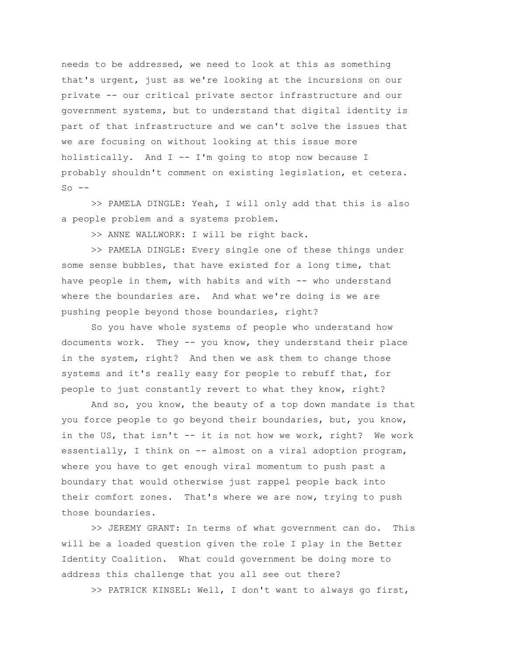needs to be addressed, we need to look at this as something that's urgent, just as we're looking at the incursions on our private -- our critical private sector infrastructure and our government systems, but to understand that digital identity is part of that infrastructure and we can't solve the issues that we are focusing on without looking at this issue more holistically. And I -- I'm going to stop now because I probably shouldn't comment on existing legislation, et cetera.  $So$   $--$ 

>> PAMELA DINGLE: Yeah, I will only add that this is also a people problem and a systems problem.

>> ANNE WALLWORK: I will be right back.

>> PAMELA DINGLE: Every single one of these things under some sense bubbles, that have existed for a long time, that have people in them, with habits and with -- who understand where the boundaries are. And what we're doing is we are pushing people beyond those boundaries, right?

So you have whole systems of people who understand how documents work. They -- you know, they understand their place in the system, right? And then we ask them to change those systems and it's really easy for people to rebuff that, for people to just constantly revert to what they know, right?

And so, you know, the beauty of a top down mandate is that you force people to go beyond their boundaries, but, you know, in the US, that isn't -- it is not how we work, right? We work essentially, I think on  $--$  almost on a viral adoption program, where you have to get enough viral momentum to push past a boundary that would otherwise just rappel people back into their comfort zones. That's where we are now, trying to push those boundaries.

>> JEREMY GRANT: In terms of what government can do. This will be a loaded question given the role I play in the Better Identity Coalition. What could government be doing more to address this challenge that you all see out there?

>> PATRICK KINSEL: Well, I don't want to always go first,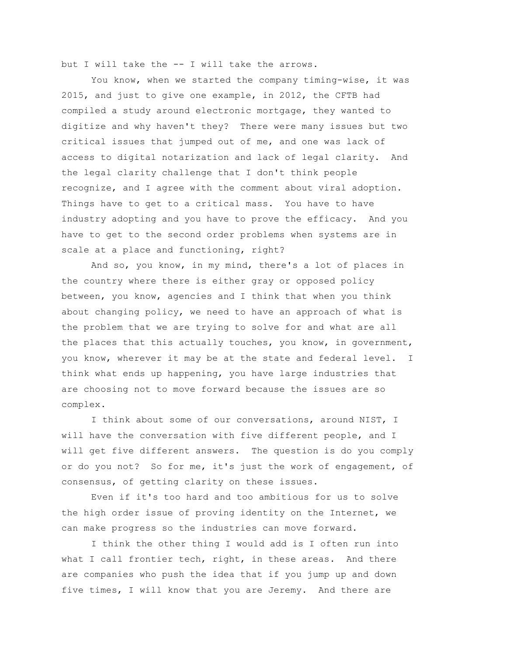but I will take the -- I will take the arrows.

You know, when we started the company timing-wise, it was 2015, and just to give one example, in 2012, the CFTB had compiled a study around electronic mortgage, they wanted to digitize and why haven't they? There were many issues but two critical issues that jumped out of me, and one was lack of access to digital notarization and lack of legal clarity. And the legal clarity challenge that I don't think people recognize, and I agree with the comment about viral adoption. Things have to get to a critical mass. You have to have industry adopting and you have to prove the efficacy. And you have to get to the second order problems when systems are in scale at a place and functioning, right?

And so, you know, in my mind, there's a lot of places in the country where there is either gray or opposed policy between, you know, agencies and I think that when you think about changing policy, we need to have an approach of what is the problem that we are trying to solve for and what are all the places that this actually touches, you know, in government, you know, wherever it may be at the state and federal level. I think what ends up happening, you have large industries that are choosing not to move forward because the issues are so complex.

I think about some of our conversations, around NIST, I will have the conversation with five different people, and I will get five different answers. The question is do you comply or do you not? So for me, it's just the work of engagement, of consensus, of getting clarity on these issues.

Even if it's too hard and too ambitious for us to solve the high order issue of proving identity on the Internet, we can make progress so the industries can move forward.

I think the other thing I would add is I often run into what I call frontier tech, right, in these areas. And there are companies who push the idea that if you jump up and down five times, I will know that you are Jeremy. And there are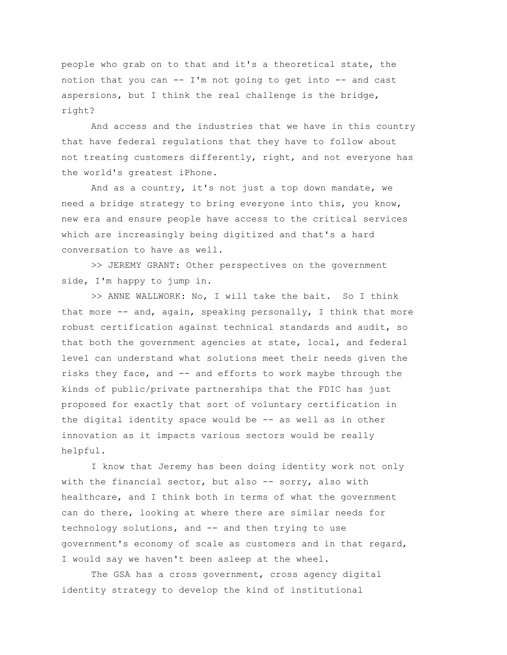people who grab on to that and it's a theoretical state, the notion that you can -- I'm not going to get into -- and cast aspersions, but I think the real challenge is the bridge, right?

And access and the industries that we have in this country that have federal regulations that they have to follow about not treating customers differently, right, and not everyone has the world's greatest iPhone.

And as a country, it's not just a top down mandate, we need a bridge strategy to bring everyone into this, you know, new era and ensure people have access to the critical services which are increasingly being digitized and that's a hard conversation to have as well.

>> JEREMY GRANT: Other perspectives on the government side, I'm happy to jump in.

>> ANNE WALLWORK: No, I will take the bait. So I think that more -- and, again, speaking personally, I think that more robust certification against technical standards and audit, so that both the government agencies at state, local, and federal level can understand what solutions meet their needs given the risks they face, and -- and efforts to work maybe through the kinds of public/private partnerships that the FDIC has just proposed for exactly that sort of voluntary certification in the digital identity space would be -- as well as in other innovation as it impacts various sectors would be really helpful.

I know that Jeremy has been doing identity work not only with the financial sector, but also  $-$ - sorry, also with healthcare, and I think both in terms of what the government can do there, looking at where there are similar needs for technology solutions, and -- and then trying to use government's economy of scale as customers and in that regard, I would say we haven't been asleep at the wheel.

The GSA has a cross government, cross agency digital identity strategy to develop the kind of institutional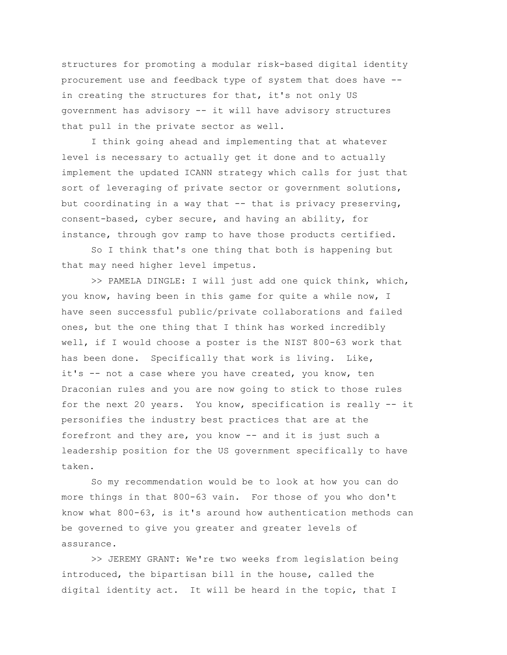structures for promoting a modular risk-based digital identity procurement use and feedback type of system that does have - in creating the structures for that, it's not only US government has advisory -- it will have advisory structures that pull in the private sector as well.

I think going ahead and implementing that at whatever level is necessary to actually get it done and to actually implement the updated ICANN strategy which calls for just that sort of leveraging of private sector or government solutions, but coordinating in a way that -- that is privacy preserving, consent-based, cyber secure, and having an ability, for instance, through gov ramp to have those products certified.

So I think that's one thing that both is happening but that may need higher level impetus.

>> PAMELA DINGLE: I will just add one quick think, which, you know, having been in this game for quite a while now, I have seen successful public/private collaborations and failed ones, but the one thing that I think has worked incredibly well, if I would choose a poster is the NIST 800-63 work that has been done. Specifically that work is living. Like, it's -- not a case where you have created, you know, ten Draconian rules and you are now going to stick to those rules for the next 20 years. You know, specification is really -- it personifies the industry best practices that are at the forefront and they are, you know -- and it is just such a leadership position for the US government specifically to have taken.

So my recommendation would be to look at how you can do more things in that 800-63 vain. For those of you who don't know what 800-63, is it's around how authentication methods can be governed to give you greater and greater levels of assurance.

>> JEREMY GRANT: We're two weeks from legislation being introduced, the bipartisan bill in the house, called the digital identity act. It will be heard in the topic, that I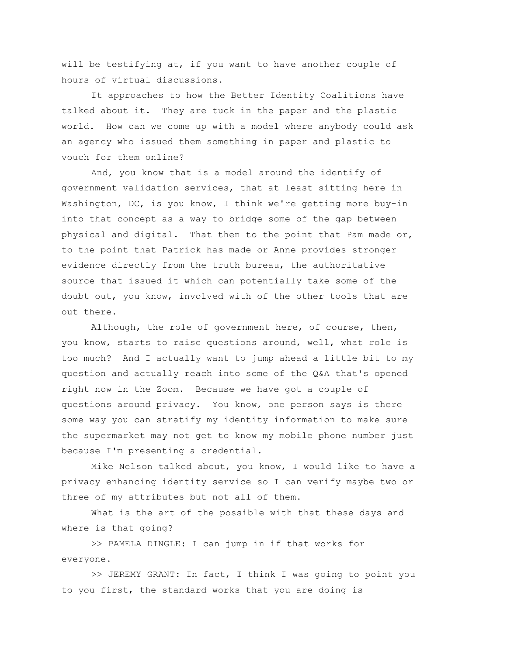will be testifying at, if you want to have another couple of hours of virtual discussions.

It approaches to how the Better Identity Coalitions have talked about it. They are tuck in the paper and the plastic world. How can we come up with a model where anybody could ask an agency who issued them something in paper and plastic to vouch for them online?

And, you know that is a model around the identify of government validation services, that at least sitting here in Washington, DC, is you know, I think we're getting more buy-in into that concept as a way to bridge some of the gap between physical and digital. That then to the point that Pam made  $or$ , to the point that Patrick has made or Anne provides stronger evidence directly from the truth bureau, the authoritative source that issued it which can potentially take some of the doubt out, you know, involved with of the other tools that are out there.

Although, the role of government here, of course, then, you know, starts to raise questions around, well, what role is too much? And I actually want to jump ahead a little bit to my question and actually reach into some of the Q&A that's opened right now in the Zoom. Because we have got a couple of questions around privacy. You know, one person says is there some way you can stratify my identity information to make sure the supermarket may not get to know my mobile phone number just because I'm presenting a credential.

Mike Nelson talked about, you know, I would like to have a privacy enhancing identity service so I can verify maybe two or three of my attributes but not all of them.

What is the art of the possible with that these days and where is that going?

>> PAMELA DINGLE: I can jump in if that works for everyone.

>> JEREMY GRANT: In fact, I think I was going to point you to you first, the standard works that you are doing is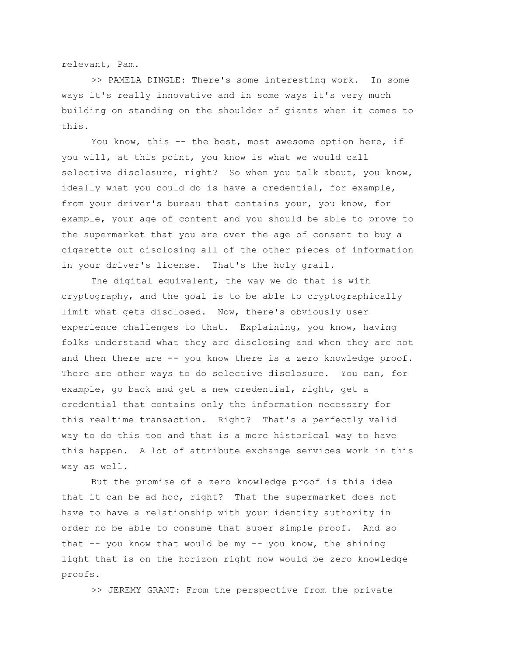relevant, Pam.

>> PAMELA DINGLE: There's some interesting work. In some ways it's really innovative and in some ways it's very much building on standing on the shoulder of giants when it comes to this.

You know, this -- the best, most awesome option here, if you will, at this point, you know is what we would call selective disclosure, right? So when you talk about, you know, ideally what you could do is have a credential, for example, from your driver's bureau that contains your, you know, for example, your age of content and you should be able to prove to the supermarket that you are over the age of consent to buy a cigarette out disclosing all of the other pieces of information in your driver's license. That's the holy grail.

The digital equivalent, the way we do that is with cryptography, and the goal is to be able to cryptographically limit what gets disclosed. Now, there's obviously user experience challenges to that. Explaining, you know, having folks understand what they are disclosing and when they are not and then there are -- you know there is a zero knowledge proof. There are other ways to do selective disclosure. You can, for example, go back and get a new credential, right, get a credential that contains only the information necessary for this realtime transaction. Right? That's a perfectly valid way to do this too and that is a more historical way to have this happen. A lot of attribute exchange services work in this way as well.

But the promise of a zero knowledge proof is this idea that it can be ad hoc, right? That the supermarket does not have to have a relationship with your identity authority in order no be able to consume that super simple proof. And so that -- you know that would be my -- you know, the shining light that is on the horizon right now would be zero knowledge proofs.

>> JEREMY GRANT: From the perspective from the private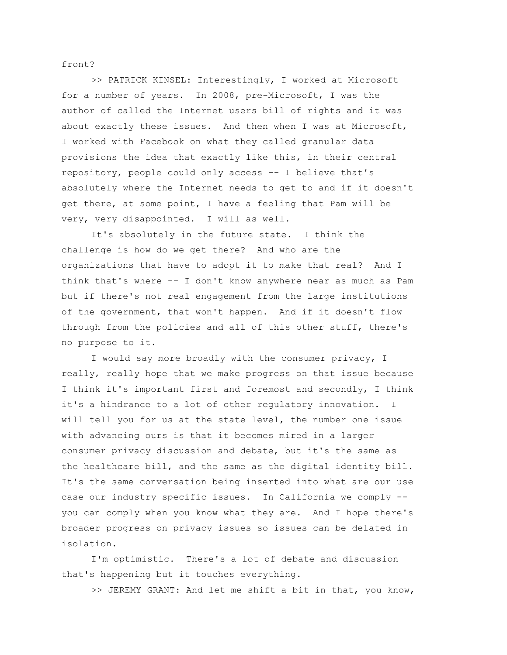front?

>> PATRICK KINSEL: Interestingly, I worked at Microsoft for a number of years. In 2008, pre-Microsoft, I was the author of called the Internet users bill of rights and it was about exactly these issues. And then when I was at Microsoft, I worked with Facebook on what they called granular data provisions the idea that exactly like this, in their central repository, people could only access -- I believe that's absolutely where the Internet needs to get to and if it doesn't get there, at some point, I have a feeling that Pam will be very, very disappointed. I will as well.

It's absolutely in the future state. I think the challenge is how do we get there? And who are the organizations that have to adopt it to make that real? And I think that's where -- I don't know anywhere near as much as Pam but if there's not real engagement from the large institutions of the government, that won't happen. And if it doesn't flow through from the policies and all of this other stuff, there's no purpose to it.

I would say more broadly with the consumer privacy, I really, really hope that we make progress on that issue because I think it's important first and foremost and secondly, I think it's a hindrance to a lot of other regulatory innovation. I will tell you for us at the state level, the number one issue with advancing ours is that it becomes mired in a larger consumer privacy discussion and debate, but it's the same as the healthcare bill, and the same as the digital identity bill. It's the same conversation being inserted into what are our use case our industry specific issues. In California we comply - you can comply when you know what they are. And I hope there's broader progress on privacy issues so issues can be delated in isolation.

I'm optimistic. There's a lot of debate and discussion that's happening but it touches everything.

>> JEREMY GRANT: And let me shift a bit in that, you know,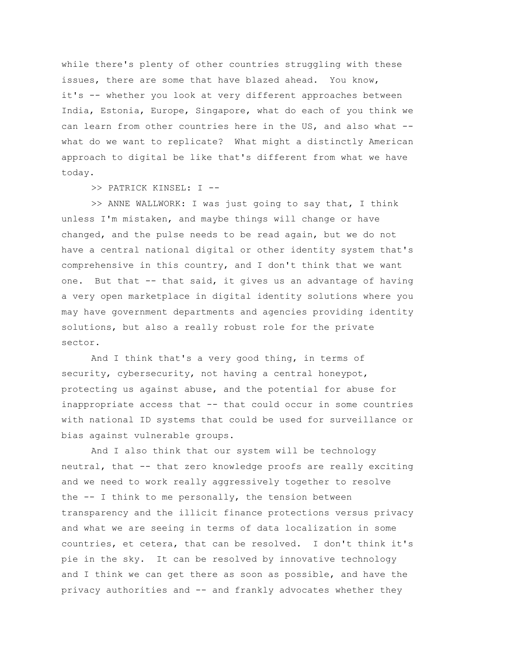while there's plenty of other countries struggling with these issues, there are some that have blazed ahead. You know, it's -- whether you look at very different approaches between India, Estonia, Europe, Singapore, what do each of you think we can learn from other countries here in the US, and also what - what do we want to replicate? What might a distinctly American approach to digital be like that's different from what we have today.

>> PATRICK KINSEL: I --

>> ANNE WALLWORK: I was just going to say that, I think unless I'm mistaken, and maybe things will change or have changed, and the pulse needs to be read again, but we do not have a central national digital or other identity system that's comprehensive in this country, and I don't think that we want one. But that -- that said, it gives us an advantage of having a very open marketplace in digital identity solutions where you may have government departments and agencies providing identity solutions, but also a really robust role for the private sector.

And I think that's a very good thing, in terms of security, cybersecurity, not having a central honeypot, protecting us against abuse, and the potential for abuse for inappropriate access that -- that could occur in some countries with national ID systems that could be used for surveillance or bias against vulnerable groups.

And I also think that our system will be technology neutral, that -- that zero knowledge proofs are really exciting and we need to work really aggressively together to resolve the -- I think to me personally, the tension between transparency and the illicit finance protections versus privacy and what we are seeing in terms of data localization in some countries, et cetera, that can be resolved. I don't think it's pie in the sky. It can be resolved by innovative technology and I think we can get there as soon as possible, and have the privacy authorities and -- and frankly advocates whether they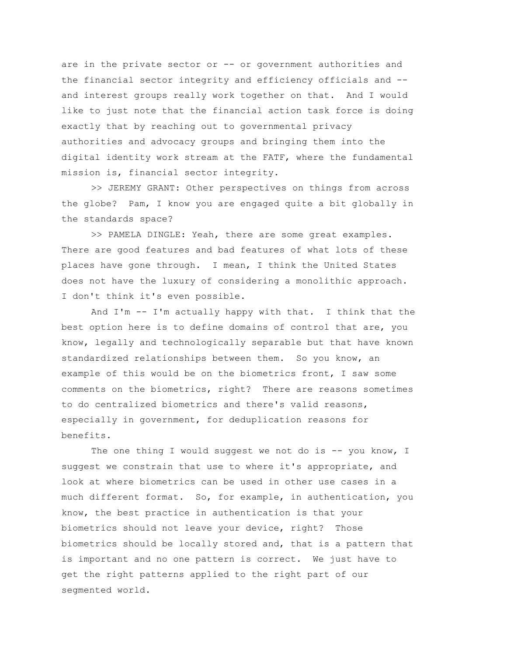are in the private sector or -- or government authorities and the financial sector integrity and efficiency officials and - and interest groups really work together on that. And I would like to just note that the financial action task force is doing exactly that by reaching out to governmental privacy authorities and advocacy groups and bringing them into the digital identity work stream at the FATF, where the fundamental mission is, financial sector integrity.

>> JEREMY GRANT: Other perspectives on things from across the globe? Pam, I know you are engaged quite a bit globally in the standards space?

>> PAMELA DINGLE: Yeah, there are some great examples. There are good features and bad features of what lots of these places have gone through. I mean, I think the United States does not have the luxury of considering a monolithic approach. I don't think it's even possible.

And I'm -- I'm actually happy with that. I think that the best option here is to define domains of control that are, you know, legally and technologically separable but that have known standardized relationships between them. So you know, an example of this would be on the biometrics front, I saw some comments on the biometrics, right? There are reasons sometimes to do centralized biometrics and there's valid reasons, especially in government, for deduplication reasons for benefits.

The one thing I would suggest we not do is  $-$ - you know, I suggest we constrain that use to where it's appropriate, and look at where biometrics can be used in other use cases in a much different format. So, for example, in authentication, you know, the best practice in authentication is that your biometrics should not leave your device, right? Those biometrics should be locally stored and, that is a pattern that is important and no one pattern is correct. We just have to get the right patterns applied to the right part of our segmented world.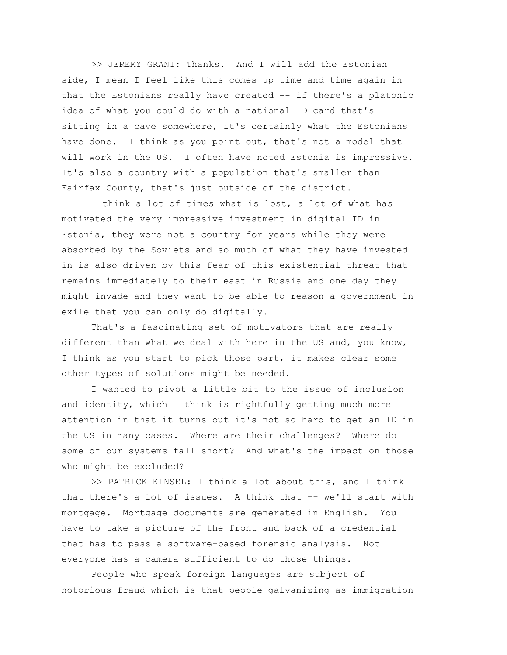>> JEREMY GRANT: Thanks. And I will add the Estonian side, I mean I feel like this comes up time and time again in that the Estonians really have created -- if there's a platonic idea of what you could do with a national ID card that's sitting in a cave somewhere, it's certainly what the Estonians have done. I think as you point out, that's not a model that will work in the US. I often have noted Estonia is impressive. It's also a country with a population that's smaller than Fairfax County, that's just outside of the district.

I think a lot of times what is lost, a lot of what has motivated the very impressive investment in digital ID in Estonia, they were not a country for years while they were absorbed by the Soviets and so much of what they have invested in is also driven by this fear of this existential threat that remains immediately to their east in Russia and one day they might invade and they want to be able to reason a government in exile that you can only do digitally.

That's a fascinating set of motivators that are really different than what we deal with here in the US and, you know, I think as you start to pick those part, it makes clear some other types of solutions might be needed.

I wanted to pivot a little bit to the issue of inclusion and identity, which I think is rightfully getting much more attention in that it turns out it's not so hard to get an ID in the US in many cases. Where are their challenges? Where do some of our systems fall short? And what's the impact on those who might be excluded?

>> PATRICK KINSEL: I think a lot about this, and I think that there's a lot of issues. A think that -- we'll start with mortgage. Mortgage documents are generated in English. You have to take a picture of the front and back of a credential that has to pass a software-based forensic analysis. Not everyone has a camera sufficient to do those things.

People who speak foreign languages are subject of notorious fraud which is that people galvanizing as immigration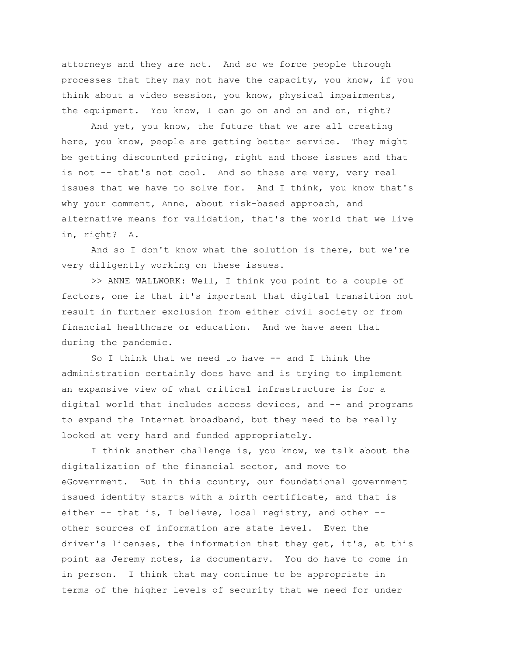attorneys and they are not. And so we force people through processes that they may not have the capacity, you know, if you think about a video session, you know, physical impairments, the equipment. You know, I can go on and on and on, right?

And yet, you know, the future that we are all creating here, you know, people are getting better service. They might be getting discounted pricing, right and those issues and that is not -- that's not cool. And so these are very, very real issues that we have to solve for. And I think, you know that's why your comment, Anne, about risk-based approach, and alternative means for validation, that's the world that we live in, right? A.

And so I don't know what the solution is there, but we're very diligently working on these issues.

>> ANNE WALLWORK: Well, I think you point to a couple of factors, one is that it's important that digital transition not result in further exclusion from either civil society or from financial healthcare or education. And we have seen that during the pandemic.

So I think that we need to have -- and I think the administration certainly does have and is trying to implement an expansive view of what critical infrastructure is for a digital world that includes access devices, and -- and programs to expand the Internet broadband, but they need to be really looked at very hard and funded appropriately.

I think another challenge is, you know, we talk about the digitalization of the financial sector, and move to eGovernment. But in this country, our foundational government issued identity starts with a birth certificate, and that is either -- that is, I believe, local registry, and other - other sources of information are state level. Even the driver's licenses, the information that they get, it's, at this point as Jeremy notes, is documentary. You do have to come in in person. I think that may continue to be appropriate in terms of the higher levels of security that we need for under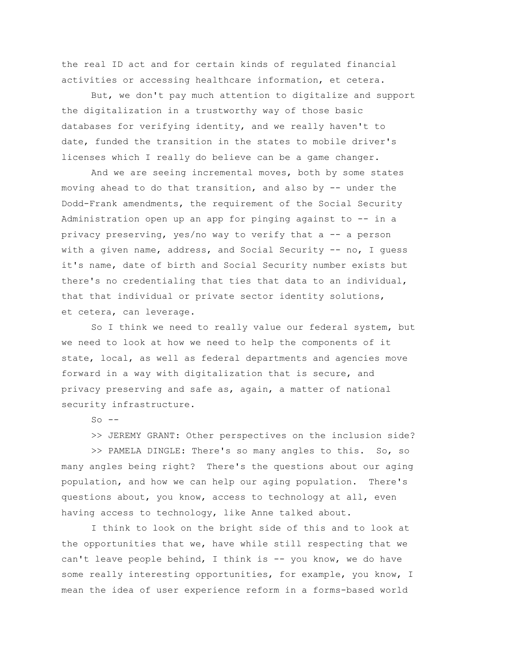the real ID act and for certain kinds of regulated financial activities or accessing healthcare information, et cetera.

But, we don't pay much attention to digitalize and support the digitalization in a trustworthy way of those basic databases for verifying identity, and we really haven't to date, funded the transition in the states to mobile driver's licenses which I really do believe can be a game changer.

And we are seeing incremental moves, both by some states moving ahead to do that transition, and also by -- under the Dodd-Frank amendments, the requirement of the Social Security Administration open up an app for pinging against to -- in a privacy preserving, yes/no way to verify that a -- a person with a given name, address, and Social Security -- no, I quess it's name, date of birth and Social Security number exists but there's no credentialing that ties that data to an individual, that that individual or private sector identity solutions, et cetera, can leverage.

So I think we need to really value our federal system, but we need to look at how we need to help the components of it state, local, as well as federal departments and agencies move forward in a way with digitalization that is secure, and privacy preserving and safe as, again, a matter of national security infrastructure.

 $SO = -$ 

>> JEREMY GRANT: Other perspectives on the inclusion side?

>> PAMELA DINGLE: There's so many angles to this. So, so many angles being right? There's the questions about our aging population, and how we can help our aging population. There's questions about, you know, access to technology at all, even having access to technology, like Anne talked about.

I think to look on the bright side of this and to look at the opportunities that we, have while still respecting that we can't leave people behind, I think is -- you know, we do have some really interesting opportunities, for example, you know, I mean the idea of user experience reform in a forms-based world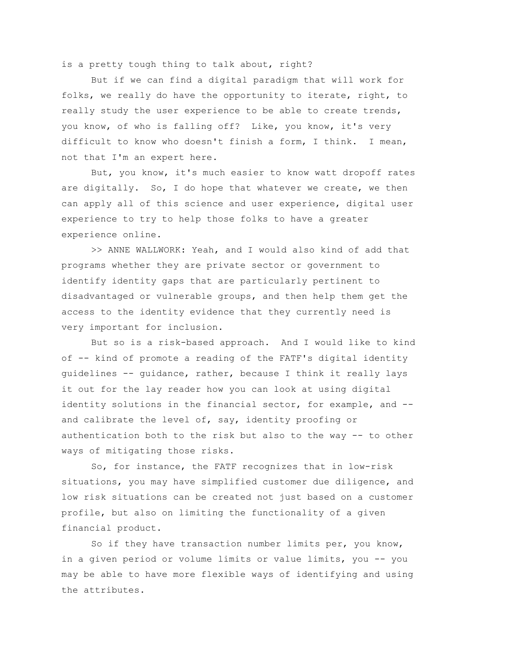is a pretty tough thing to talk about, right?

But if we can find a digital paradigm that will work for folks, we really do have the opportunity to iterate, right, to really study the user experience to be able to create trends, you know, of who is falling off? Like, you know, it's very difficult to know who doesn't finish a form, I think. I mean, not that I'm an expert here.

But, you know, it's much easier to know watt dropoff rates are digitally. So, I do hope that whatever we create, we then can apply all of this science and user experience, digital user experience to try to help those folks to have a greater experience online.

>> ANNE WALLWORK: Yeah, and I would also kind of add that programs whether they are private sector or government to identify identity gaps that are particularly pertinent to disadvantaged or vulnerable groups, and then help them get the access to the identity evidence that they currently need is very important for inclusion.

But so is a risk-based approach. And I would like to kind of -- kind of promote a reading of the FATF's digital identity guidelines -- guidance, rather, because I think it really lays it out for the lay reader how you can look at using digital identity solutions in the financial sector, for example, and - and calibrate the level of, say, identity proofing or authentication both to the risk but also to the way -- to other ways of mitigating those risks.

So, for instance, the FATF recognizes that in low-risk situations, you may have simplified customer due diligence, and low risk situations can be created not just based on a customer profile, but also on limiting the functionality of a given financial product.

So if they have transaction number limits per, you know, in a given period or volume limits or value limits, you -- you may be able to have more flexible ways of identifying and using the attributes.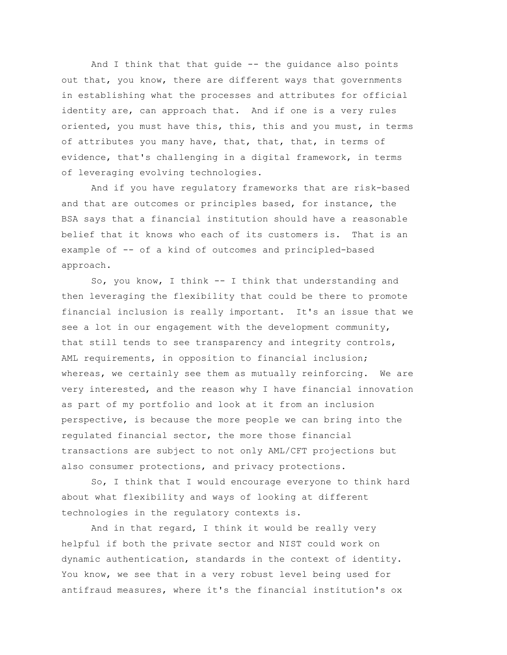And I think that that guide -- the guidance also points out that, you know, there are different ways that governments in establishing what the processes and attributes for official identity are, can approach that. And if one is a very rules oriented, you must have this, this, this and you must, in terms of attributes you many have, that, that, that, in terms of evidence, that's challenging in a digital framework, in terms of leveraging evolving technologies.

And if you have regulatory frameworks that are risk-based and that are outcomes or principles based, for instance, the BSA says that a financial institution should have a reasonable belief that it knows who each of its customers is. That is an example of -- of a kind of outcomes and principled-based approach.

So, you know, I think -- I think that understanding and then leveraging the flexibility that could be there to promote financial inclusion is really important. It's an issue that we see a lot in our engagement with the development community, that still tends to see transparency and integrity controls, AML requirements, in opposition to financial inclusion; whereas, we certainly see them as mutually reinforcing. We are very interested, and the reason why I have financial innovation as part of my portfolio and look at it from an inclusion perspective, is because the more people we can bring into the regulated financial sector, the more those financial transactions are subject to not only AML/CFT projections but also consumer protections, and privacy protections.

So, I think that I would encourage everyone to think hard about what flexibility and ways of looking at different technologies in the regulatory contexts is.

And in that regard, I think it would be really very helpful if both the private sector and NIST could work on dynamic authentication, standards in the context of identity. You know, we see that in a very robust level being used for antifraud measures, where it's the financial institution's ox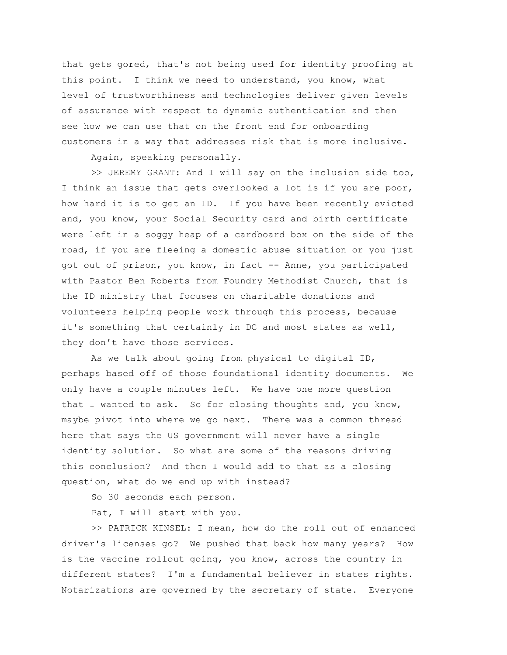that gets gored, that's not being used for identity proofing at this point. I think we need to understand, you know, what level of trustworthiness and technologies deliver given levels of assurance with respect to dynamic authentication and then see how we can use that on the front end for onboarding customers in a way that addresses risk that is more inclusive.

Again, speaking personally.

>> JEREMY GRANT: And I will say on the inclusion side too, I think an issue that gets overlooked a lot is if you are poor, how hard it is to get an ID. If you have been recently evicted and, you know, your Social Security card and birth certificate were left in a soggy heap of a cardboard box on the side of the road, if you are fleeing a domestic abuse situation or you just got out of prison, you know, in fact -- Anne, you participated with Pastor Ben Roberts from Foundry Methodist Church, that is the ID ministry that focuses on charitable donations and volunteers helping people work through this process, because it's something that certainly in DC and most states as well, they don't have those services.

As we talk about going from physical to digital ID, perhaps based off of those foundational identity documents. We only have a couple minutes left. We have one more question that I wanted to ask. So for closing thoughts and, you know, maybe pivot into where we go next. There was a common thread here that says the US government will never have a single identity solution. So what are some of the reasons driving this conclusion? And then I would add to that as a closing question, what do we end up with instead?

So 30 seconds each person.

Pat, I will start with you.

>> PATRICK KINSEL: I mean, how do the roll out of enhanced driver's licenses go? We pushed that back how many years? How is the vaccine rollout going, you know, across the country in different states? I'm a fundamental believer in states rights. Notarizations are governed by the secretary of state. Everyone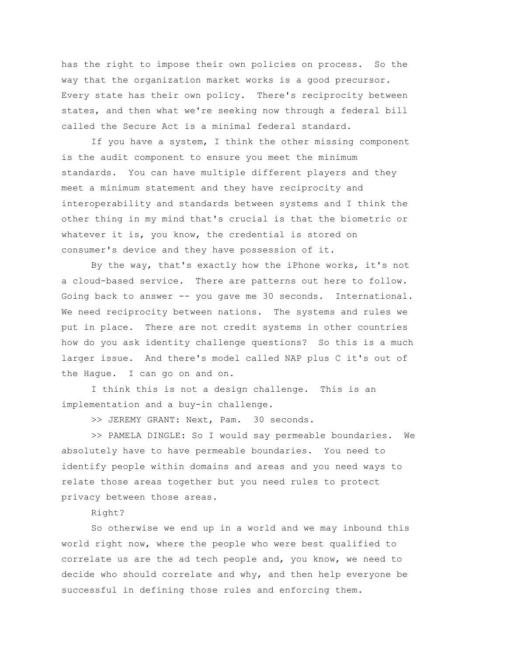has the right to impose their own policies on process. So the way that the organization market works is a good precursor. Every state has their own policy. There's reciprocity between states, and then what we're seeking now through a federal bill called the Secure Act is a minimal federal standard.

If you have a system, I think the other missing component is the audit component to ensure you meet the minimum standards. You can have multiple different players and they meet a minimum statement and they have reciprocity and interoperability and standards between systems and I think the other thing in my mind that's crucial is that the biometric or whatever it is, you know, the credential is stored on consumer's device and they have possession of it.

By the way, that's exactly how the iPhone works, it's not a cloud-based service. There are patterns out here to follow. Going back to answer -- you gave me 30 seconds. International. We need reciprocity between nations. The systems and rules we put in place. There are not credit systems in other countries how do you ask identity challenge questions? So this is a much larger issue. And there's model called NAP plus C it's out of the Hague. I can go on and on.

I think this is not a design challenge. This is an implementation and a buy-in challenge.

>> JEREMY GRANT: Next, Pam. 30 seconds.

>> PAMELA DINGLE: So I would say permeable boundaries. We absolutely have to have permeable boundaries. You need to identify people within domains and areas and you need ways to relate those areas together but you need rules to protect privacy between those areas.

#### Right?

So otherwise we end up in a world and we may inbound this world right now, where the people who were best qualified to correlate us are the ad tech people and, you know, we need to decide who should correlate and why, and then help everyone be successful in defining those rules and enforcing them.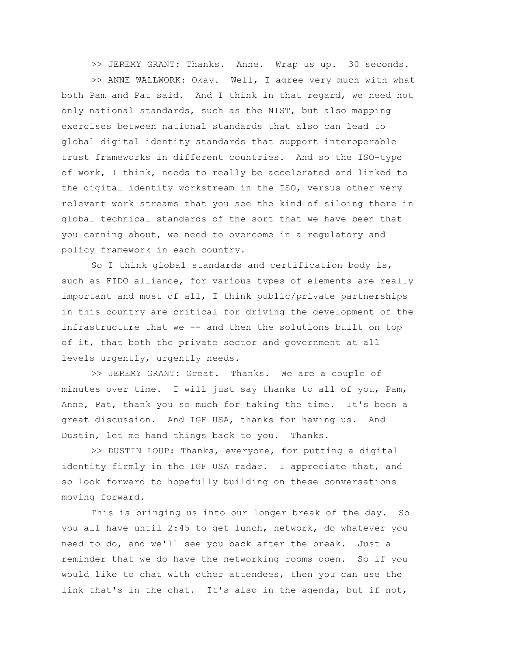>> JEREMY GRANT: Thanks. Anne. Wrap us up. 30 seconds.

>> ANNE WALLWORK: Okay. Well, I agree very much with what both Pam and Pat said. And I think in that regard, we need not only national standards, such as the NIST, but also mapping exercises between national standards that also can lead to global digital identity standards that support interoperable trust frameworks in different countries. And so the ISO-type of work, I think, needs to really be accelerated and linked to the digital identity workstream in the ISO, versus other very relevant work streams that you see the kind of siloing there in global technical standards of the sort that we have been that you canning about, we need to overcome in a regulatory and policy framework in each country.

So I think global standards and certification body is, such as FIDO alliance, for various types of elements are really important and most of all, I think public/private partnerships in this country are critical for driving the development of the infrastructure that we -- and then the solutions built on top of it, that both the private sector and government at all levels urgently, urgently needs.

>> JEREMY GRANT: Great. Thanks. We are a couple of minutes over time. I will just say thanks to all of you, Pam, Anne, Pat, thank you so much for taking the time. It's been a great discussion. And IGF USA, thanks for having us. And Dustin, let me hand things back to you. Thanks.

>> DUSTIN LOUP: Thanks, everyone, for putting a digital identity firmly in the IGF USA radar. I appreciate that, and so look forward to hopefully building on these conversations moving forward.

This is bringing us into our longer break of the day. So you all have until 2:45 to get lunch, network, do whatever you need to do, and we'll see you back after the break. Just a reminder that we do have the networking rooms open. So if you would like to chat with other attendees, then you can use the link that's in the chat. It's also in the agenda, but if not,